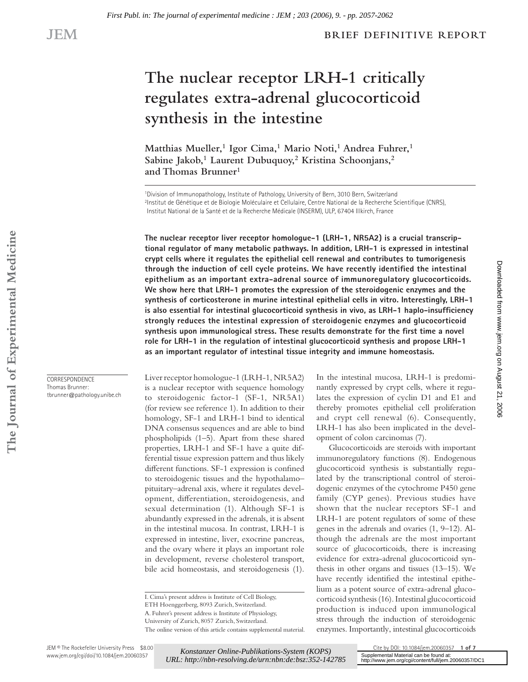### **BRIEF DEFINITIVE REPORT**

# **The nuclear receptor LRH-1 critically regulates extra-adrenal glucocorticoid synthesis in the intestine**

Matthias Mueller,<sup>1</sup> Igor Cima,<sup>1</sup> Mario Noti,<sup>1</sup> Andrea Fuhrer,<sup>1</sup> Sabine Jakob,<sup>1</sup> Laurent Dubuquoy,<sup>2</sup> Kristina Schoonjans,<sup>2</sup> **and Thomas Brunner1**

1Division of Immunopathology, Institute of Pathology, University of Bern, 3010 Bern, Switzerland <sup>2</sup>Institut de Génétique et de Biologie Moléculaire et Cellulaire, Centre National de la Recherche Scientifique (CNRS), Institut National de la Santé et de la Recherche Médicale (INSERM), ULP, 67404 Illkirch, France

**The nuclear receptor liver receptor homologue-1 (LRH-1, NR5A2) is a crucial transcriptional regulator of many metabolic pathways. In addition, LRH-1 is expressed in intestinal crypt cells where it regulates the epithelial cell renewal and contributes to tumorigenesis**  through the induction of cell cycle proteins. We have recently identified the intestinal **epithelium as an important extra-adrenal source of immunoregulatory glucocorticoids. We show here that LRH-1 promotes the expression of the steroidogenic enzymes and the synthesis of corticosterone in murine intestinal epithelial cells in vitro. Interestingly, LRH-1**  is also essential for intestinal glucocorticoid synthesis in vivo, as LRH-1 haplo-insufficiency **strongly reduces the intestinal expression of steroidogenic enzymes and glucocorticoid**  synthesis upon immunological stress. These results demonstrate for the first time a novel **role for LRH-1 in the regulation of intestinal glucocorticoid synthesis and propose LRH-1 as an important regulator of intestinal tissue integrity and immune homeostasis.**

Liver receptor homologue-1 (LRH-1, NR5A2) is a nuclear receptor with sequence homology to steroidogenic factor-1 (SF-1, NR5A1) (for review see reference 1). In addition to their homology, SF-1 and LRH-1 bind to identical DNA consensus sequences and are able to bind phospholipids (1–5). Apart from these shared properties, LRH-1 and SF-1 have a quite differential tissue expression pattern and thus likely different functions. SF-1 expression is confined to steroidogenic tissues and the hypothalamo– pituitary–adrenal axis, where it regulates development, differentiation, steroidogenesis, and sexual determination (1). Although SF-1 is abundantly expressed in the adrenals, it is absent in the intestinal mucosa. In contrast, LRH-1 is expressed in intestine, liver, exocrine pancreas, and the ovary where it plays an important role in development, reverse cholesterol transport, bile acid homeostasis, and steroidogenesis (1).

and crypt cell renewal (6). Consequently, LRH-1 has also been implicated in the development of colon carcinomas (7). Glucocorticoids are steroids with important immunoregulatory functions (8). Endogenous

In the intestinal mucosa, LRH-1 is predominantly expressed by crypt cells, where it regulates the expression of cyclin D1 and E1 and thereby promotes epithelial cell proliferation Downloadedfrom [www.jem.org](http://www.jem.org) on August 21, 2006

Downloaded from www.jem.org on August 21, 2006

glucocorticoid synthesis is substantially regulated by the transcriptional control of steroidogenic enzymes of the cytochrome P450 gene family (CYP genes). Previous studies have shown that the nuclear receptors SF-1 and LRH-1 are potent regulators of some of these genes in the adrenals and ovaries (1, 9–12). Although the adrenals are the most important source of glucocorticoids, there is increasing evidence for extra-adrenal glucocorticoid synthesis in other organs and tissues (13–15). We have recently identified the intestinal epithelium as a potent source of extra-adrenal glucocorticoid synthesis (16). Intestinal glucocorticoid production is induced upon immunological stress through the induction of steroidogenic enzymes. Importantly, intestinal glucocorticoids

**CORRESPONDENCE** Thomas Brunner: tbrunner@pathology.unibe.ch

*Konstanzer Online-Publikations-System (KOPS) [URL: http://nbn-resolving.de/urn:nbn:de:bsz:352-142785](http://nbn-resolving.de/urn:nbn:de:bsz:352-142785)*

I. Cima's present address is Institute of Cell Biology,

ETH Hoenggerberg, 8093 Zurich, Switzerland.

A. Fuhrer's present address is Institute of Physiology, University of Zurich, 8057 Zurich, Switzerland.

The online version of this article contains supplemental material.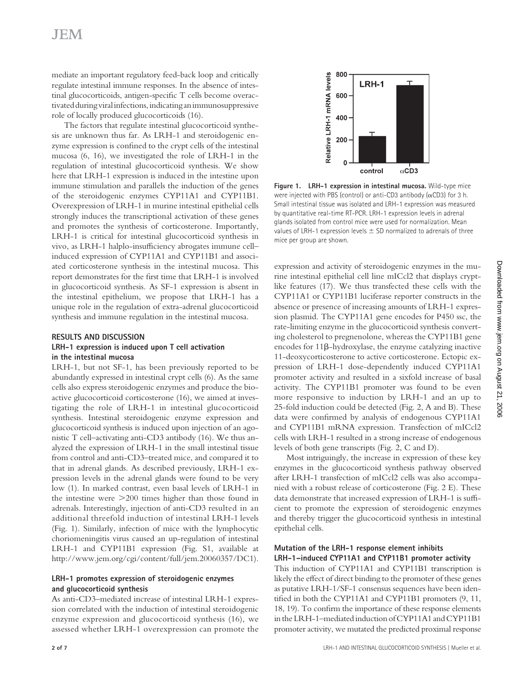# **JEM**

mediate an important regulatory feed-back loop and critically regulate intestinal immune responses. In the absence of intestinal glucocorticoids, antigen-specific T cells become overactivated during viral infections, indicating an immunosuppressive role of locally produced glucocorticoids (16).

The factors that regulate intestinal glucocorticoid synthesis are unknown thus far. As LRH-1 and steroidogenic enzyme expression is confined to the crypt cells of the intestinal mucosa (6, 16), we investigated the role of LRH-1 in the regulation of intestinal glucocorticoid synthesis. We show here that LRH-1 expression is induced in the intestine upon immune stimulation and parallels the induction of the genes of the steroidogenic enzymes CYP11A1 and CYP11B1. Overexpression of LRH-1 in murine intestinal epithelial cells strongly induces the transcriptional activation of these genes and promotes the synthesis of corticosterone. Importantly, LRH-1 is critical for intestinal glucocorticoid synthesis in vivo, as LRH-1 halplo-insufficiency abrogates immune cellinduced expression of CYP11A1 and CYP11B1 and associated corticosterone synthesis in the intestinal mucosa. This report demonstrates for the first time that LRH-1 is involved in glucocorticoid synthesis. As SF-1 expression is absent in the intestinal epithelium, we propose that LRH-1 has a unique role in the regulation of extra-adrenal glucocorticoid synthesis and immune regulation in the intestinal mucosa.

# **RESULTS AND DISCUSSION**

#### **LRH-1 expression is induced upon T cell activation in the intestinal mucosa**

LRH-1, but not SF-1, has been previously reported to be abundantly expressed in intestinal crypt cells (6). As the same cells also express steroidogenic enzymes and produce the bioactive glucocorticoid corticosterone (16), we aimed at investigating the role of LRH-1 in intestinal glucocorticoid synthesis. Intestinal steroidogenic enzyme expression and glucocorticoid synthesis is induced upon injection of an agonistic T cell–activating anti-CD3 antibody (16). We thus analyzed the expression of LRH-1 in the small intestinal tissue from control and anti-CD3–treated mice, and compared it to that in adrenal glands. As described previously, LRH-1 expression levels in the adrenal glands were found to be very low (1). In marked contrast, even basal levels of LRH-1 in the intestine were >200 times higher than those found in adrenals. Interestingly, injection of anti-CD3 resulted in an additional threefold induction of intestinal LRH-1 levels (Fig. 1). Similarly, infection of mice with the lymphocytic choriomeningitis virus caused an up-regulation of intestinal LRH-1 and CYP11B1 expression (Fig. S1, available at http://www.jem.org/cgi/content/full/jem.20060357/DC1).

### **LRH-1 promotes expression of steroidogenic enzymes and glucocorticoid synthesis**

As anti-CD3–mediated increase of intestinal LRH-1 expression correlated with the induction of intestinal steroidogenic enzyme expression and glucocorticoid synthesis (16), we assessed whether LRH-1 overexpression can promote the



**Figure 1. LRH-1 expression in intestinal mucosa.** Wild-type mice were injected with PBS (control) or anti-CD3 antibody ( $\alpha$ CD3) for 3 h. Small intestinal tissue was isolated and LRH-1 expression was measured by quantitative real-time RT-PCR. LRH-1 expression levels in adrenal glands isolated from control mice were used for normalization. Mean values of LRH-1 expression levels  $\pm$  SD normalized to adrenals of three mice per group are shown.

expression and activity of steroidogenic enzymes in the murine intestinal epithelial cell line mICcl2 that displays cryptlike features (17). We thus transfected these cells with the CYP11A1 or CYP11B1 luciferase reporter constructs in the absence or presence of increasing amounts of LRH-1 expression plasmid. The CYP11A1 gene encodes for P450 ssc, the rate-limiting enzyme in the glucocorticoid synthesis converting cholesterol to pregnenolone, whereas the CYP11B1 gene encodes for 11β-hydroxylase, the enzyme catalyzing inactive 11-deoxycorticosterone to active corticosterone. Ectopic expression of LRH-1 dose-dependently induced CYP11A1 promoter activity and resulted in a sixfold increase of basal activity. The CYP11B1 promoter was found to be even more responsive to induction by LRH-1 and an up to 25-fold induction could be detected (Fig. 2, A and B). These data were confirmed by analysis of endogenous CYP11A1 and CYP11B1 mRNA expression. Transfection of mICcl2 cells with LRH-1 resulted in a strong increase of endogenous levels of both gene transcripts (Fig. 2, C and D).

Most intriguingly, the increase in expression of these key enzymes in the glucocorticoid synthesis pathway observed after LRH-1 transfection of mICcl2 cells was also accompanied with a robust release of corticosterone (Fig. 2 E). These data demonstrate that increased expression of LRH-1 is sufficient to promote the expression of steroidogenic enzymes and thereby trigger the glucocorticoid synthesis in intestinal epithelial cells.

### **Mutation of the LRH-1 response element inhibits LRH-1–induced CYP11A1 and CYP11B1 promoter activity**

This induction of CYP11A1 and CYP11B1 transcription is likely the effect of direct binding to the promoter of these genes as putative LRH-1/SF-1 consensus sequences have been identified in both the CYP11A1 and CYP11B1 promoters (9, 11, 18, 19). To confirm the importance of these response elements in the LRH-1–mediated induction of CYP11A1 and CYP11B1 promoter activity, we mutated the predicted proximal response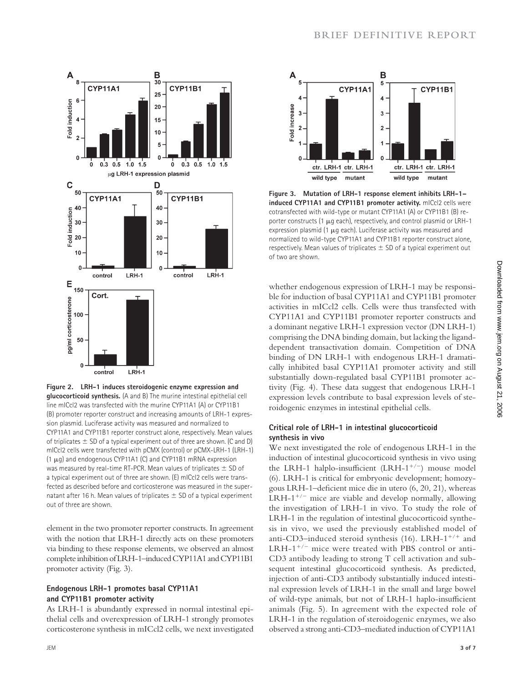

**Figure 2. LRH-1 induces steroidogenic enzyme expression and glucocorticoid synthesis.** (A and B) The murine intestinal epithelial cell line mICcl2 was transfected with the murine CYP11A1 (A) or CYP11B1 (B) promoter reporter construct and increasing amounts of LRH-1 expression plasmid. Luciferase activity was measured and normalized to CYP11A1 and CYP11B1 reporter construct alone, respectively. Mean values of triplicates  $\pm$  SD of a typical experiment out of three are shown. (C and D) mICcl2 cells were transfected with pCMX (control) or pCMX-LRH-1 (LRH-1) (1 μg) and endogenous CYP11A1 (C) and CYP11B1 mRNA expression was measured by real-time RT-PCR. Mean values of triplicates  $\pm$  SD of a typical experiment out of three are shown. (E) mICcl2 cells were transfected as described before and corticosterone was measured in the supernatant after 16 h. Mean values of triplicates  $\pm$  SD of a typical experiment out of three are shown.

element in the two promoter reporter constructs. In agreement with the notion that LRH-1 directly acts on these promoters via binding to these response elements, we observed an almost complete inhibition of LRH-1–induced CYP11A1 and CYP11B1 promoter activity (Fig. 3).

#### **Endogenous LRH-1 promotes basal CYP11A1 and CYP11B1 promoter activity**

As LRH-1 is abundantly expressed in normal intestinal epithelial cells and overexpression of LRH-1 strongly promotes corticosterone synthesis in mICcl2 cells, we next investigated



**Figure 3. Mutation of LRH-1 response element inhibits LRH-1– induced CYP11A1 and CYP11B1 promoter activity.** mICcl2 cells were cotransfected with wild-type or mutant CYP11A1 (A) or CYP11B1 (B) reporter constructs (1 μg each), respectively, and control plasmid or LRH-1 expression plasmid (1 μg each). Luciferase activity was measured and normalized to wild-type CYP11A1 and CYP11B1 reporter construct alone, respectively. Mean values of triplicates  $\pm$  SD of a typical experiment out of two are shown.

whether endogenous expression of LRH-1 may be responsible for induction of basal CYP11A1 and CYP11B1 promoter activities in mICcl2 cells. Cells were thus transfected with CYP11A1 and CYP11B1 promoter reporter constructs and a dominant negative LRH-1 expression vector (DN LRH-1) comprising the DNA binding domain, but lacking the liganddependent transactivation domain. Competition of DNA binding of DN LRH-1 with endogenous LRH-1 dramatically inhibited basal CYP11A1 promoter activity and still substantially down-regulated basal CYP11B1 promoter activity (Fig. 4). These data suggest that endogenous LRH-1 expression levels contribute to basal expression levels of steroidogenic enzymes in intestinal epithelial cells.

## **Critical role of LRH-1 in intestinal glucocorticoid synthesis in vivo**

We next investigated the role of endogenous LRH-1 in the induction of intestinal glucocorticoid synthesis in vivo using the LRH-1 halplo-insufficient (LRH-1<sup>+/-</sup>) mouse model (6). LRH-1 is critical for embryonic development; homozygous LRH-1-deficient mice die in utero (6, 20, 21), whereas LRH-1<sup>+/−</sup> mice are viable and develop normally, allowing the investigation of LRH-1 in vivo. To study the role of LRH-1 in the regulation of intestinal glucocorticoid synthesis in vivo, we used the previously established model of anti-CD3–induced steroid synthesis (16). LRH- $1^{+/+}$  and LRH-1<sup>+</sup>/<sup>−</sup> mice were treated with PBS control or anti-CD3 antibody leading to strong T cell activation and subsequent intestinal glucocorticoid synthesis. As predicted, injection of anti-CD3 antibody substantially induced intestinal expression levels of LRH-1 in the small and large bowel of wild-type animals, but not of LRH-1 haplo-insufficient animals (Fig. 5). In agreement with the expected role of LRH-1 in the regulation of steroidogenic enzymes, we also observed a strong anti-CD3–mediated induction of CYP11A1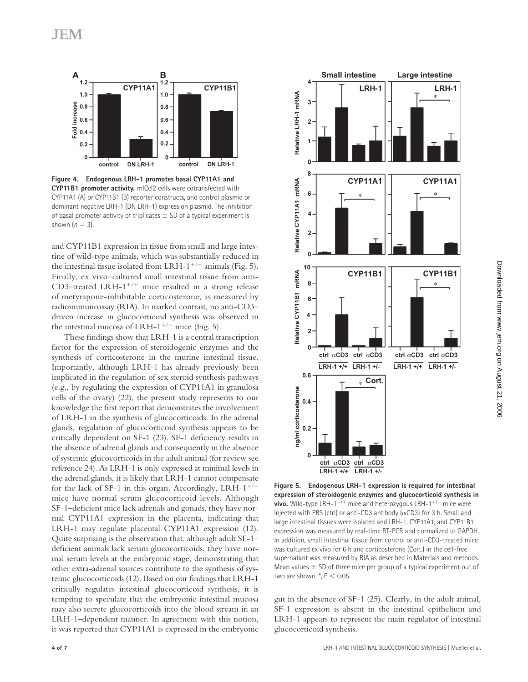

**Figure 4. Endogenous LRH-1 promotes basal CYP11A1 and CYP11B1 promoter activity.** mICcl2 cells were cotransfected with CYP11A1 (A) or CYP11B1 (B) reporter constructs, and control plasmid or dominant negative LRH-1 (DN LRH-1) expression plasmid. The inhibition of basal promoter activity of triplicates  $\pm$  SD of a typical experiment is shown  $(n = 3)$ .

and CYP11B1 expression in tissue from small and large intestine of wild-type animals, which was substantially reduced in the intestinal tissue isolated from LRH-1<sup>+</sup>/<sup>−</sup> animals (Fig. 5). Finally, ex vivo–cultured small intestinal tissue from anti-CD3–treated LRH- $1^{+/+}$  mice resulted in a strong release of metyrapone-inhibitable corticosterone, as measured by radioimmunoassay (RIA). In marked contrast, no anti-CD3– driven increase in glucocorticoid synthesis was observed in the intestinal mucosa of LRH-1<sup>+/−</sup> mice (Fig. 5).

These findings show that LRH-1 is a central transcription factor for the expression of steroidogenic enzymes and the synthesis of corticosterone in the murine intestinal tissue. Importantly, although LRH-1 has already previously been implicated in the regulation of sex steroid synthesis pathways (e.g., by regulating the expression of CYP11A1 in granulosa cells of the ovary) (22), the present study represents to our knowledge the first report that demonstrates the involvement of LRH-1 in the synthesis of glucocorticoids. In the adrenal glands, regulation of glucocorticoid synthesis appears to be critically dependent on SF-1 (23). SF-1 deficiency results in the absence of adrenal glands and consequently in the absence of systemic glucocorticoids in the adult animal (for review see reference 24). As LRH-1 is only expressed at minimal levels in the adrenal glands, it is likely that LRH-1 cannot compensate for the lack of SF-1 in this organ. Accordingly, LRH- $1^{+/-}$ mice have normal serum glucocorticoid levels. Although SF-1-deficient mice lack adrenals and gonads, they have normal CYP11A1 expression in the placenta, indicating that LRH-1 may regulate placental CYP11A1 expression (12). Quite surprising is the observation that, although adult SF-1– deficient animals lack serum glucocorticoids, they have normal serum levels at the embryonic stage, demonstrating that other extra-adrenal sources contribute to the synthesis of systemic glucocorticoids (12). Based on our findings that LRH-1 critically regulates intestinal glucocorticoid synthesis, it is tempting to speculate that the embryonic intestinal mucosa may also secrete glucocorticoids into the blood stream in an LRH-1–dependent manner. In agreement with this notion, it was reported that CYP11A1 is expressed in the embryonic



**Figure 5. Endogenous LRH-1 expression is required for intestinal expression of steroidogenic enzymes and glucocorticoid synthesis in vivo.** Wild-type LRH-1<sup>+/+</sup> mice and heterozygous LRH-1<sup>+/−</sup> mice were injected with PBS (ctrl) or anti-CD3 antibody  $(\alpha CD3)$  for 3 h. Small and large intestinal tissues were isolated and LRH-1, CYP11A1, and CYP11B1 expression was measured by real-time RT-PCR and normalized to GAPDH. In addition, small intestinal tissue from control or anti-CD3–treated mice was cultured ex vivo for 6 h and corticosterone (Cort.) in the cell-free supernatant was measured by RIA as described in Materials and methods. Mean values  $\pm$  SD of three mice per group of a typical experiment out of two are shown.  $^*$ ,  $P < 0.05$ .

gut in the absence of SF-1 (25). Clearly, in the adult animal, SF-1 expression is absent in the intestinal epithelium and LRH-1 appears to represent the main regulator of intestinal glucocorticoid synthesis.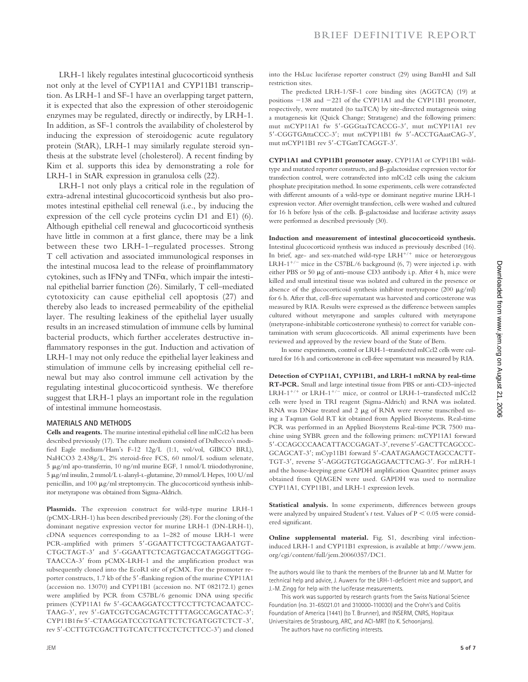LRH-1 likely regulates intestinal glucocorticoid synthesis not only at the level of CYP11A1 and CYP11B1 transcription. As LRH-1 and SF-1 have an overlapping target pattern, it is expected that also the expression of other steroidogenic enzymes may be regulated, directly or indirectly, by LRH-1. In addition, as SF-1 controls the availability of cholesterol by inducing the expression of steroidogenic acute regulatory protein (StAR), LRH-1 may similarly regulate steroid synthesis at the substrate level (cholesterol). A recent finding by Kim et al. supports this idea by demonstrating a role for LRH-1 in StAR expression in granulosa cells (22).

LRH-1 not only plays a critical role in the regulation of extra-adrenal intestinal glucocorticoid synthesis but also promotes intestinal epithelial cell renewal (i.e., by inducing the expression of the cell cycle proteins cyclin D1 and E1) (6). Although epithelial cell renewal and glucocorticoid synthesis have little in common at a first glance, there may be a link between these two LRH-1–regulated processes. Strong T cell activation and associated immunological responses in the intestinal mucosa lead to the release of proinflammatory cytokines, such as IFNγ and TNFα, which impair the intestinal epithelial barrier function (26). Similarly, T cell–mediated cytotoxicity can cause epithelial cell apoptosis (27) and thereby also leads to increased permeability of the epithelial layer. The resulting leakiness of the epithelial layer usually results in an increased stimulation of immune cells by luminal bacterial products, which further accelerates destructive inflammatory responses in the gut. Induction and activation of LRH-1 may not only reduce the epithelial layer leakiness and stimulation of immune cells by increasing epithelial cell renewal but may also control immune cell activation by the regulating intestinal glucocorticoid synthesis. We therefore suggest that LRH-1 plays an important role in the regulation of intestinal immune homeostasis.

#### **MATERIALS AND METHODS**

**Cells and reagents.** The murine intestinal epithelial cell line mICcl2 has been described previously (17). The culture medium consisted of Dulbecco's modified Eagle medium/Ham's F-12 12g/L (1:1, vol/vol, GIBCO BRL), NaHCO3 2.438g/L, 2% steroid-free FCS, 60 nmol/L sodium selenate, 5 μg/ml apo-transferrin, 10 ng/ml murine EGF, 1 nmol/L triiodothyronine, 5 μg/ml insulin, 2 mmol/L l-alanyl-l-glutamine, 20 mmol/L Hepes, 100 U/ml penicillin, and 100 μg/ml streptomycin. The glucocorticoid synthesis inhibitor metyrapone was obtained from Sigma-Aldrich.

**Plasmids.** The expression construct for wild-type murine LRH-1 (pCMX-LRH-1) has been described previously (28). For the cloning of the dominant negative expression vector for murine LRH-1 (DN-LRH-1), cDNA sequences corresponding to aa 1–282 of mouse LRH-1 were PCR-amplified with primers 5'-GGAATTCTTCGCTAAGAATGT-CTGCTAGT-3' and 5'-GGAATTCTCAGTGACCATAGGGTTGG-TAACCA-3' from pCMX-LRH-1 and the amplification product was subsequently cloned into the EcoRI site of pCMX. For the promoter reporter constructs, 1.7 kb of the 5'-flanking region of the murine CYP11A1 (accession no. 13070) and CYP11B1 (accession no. NT 082172.1) genes were amplified by PCR from C57BL/6 genomic DNA using specific primers (CYP11A1 fw 5'-GCAAGGATCCTTCCTTCTCACAATCC-TAAG-3', rev 5'-GATCGTCGACAGTCTTTTAGCCAGCATAC-3'; CYP11B1 fw 5'-CTAAGGATCCGTGATTCTCTGATGGTCTCT-3', rev 5'-CCTTGTCGACTTGTCATCTTCCTCTCTCC-3') and cloned into the HsLuc luciferase reporter construct (29) using BamHI and SalI restriction sites.

The predicted LRH-1/SF-1 core binding sites (AGGTCA) (19) at positions −138 and −221 of the CYP11A1 and the CYP11B1 promoter, respectively, were mutated (to taaTCA) by site-directed mutagenesis using a mutagenesis kit (Quick Change; Stratagene) and the following primers: mut mCYP11A1 fw 5′-GGGtaaTCACCG-3′, mut mCYP11A1 rev 5′-CGGTGAttaCCC-3′; mut mCYP11B1 fw 5′-ACCTGAaatCAG-3′, mut mCYP11B1 rev 5′-CTGattTCAGGT-3′.

**CYP11A1 and CYP11B1 promoter assay.** CYP11A1 or CYP11B1 wildtype and mutated reporter constructs, and β-galactosidase expression vector for transfection control, were cotransfected into mICcl2 cells using the calcium phosphate precipitation method. In some experiments, cells were cotransfected with different amounts of a wild-type or dominant negative murine LRH-1 expression vector. After overnight transfection, cells were washed and cultured for 16 h before lysis of the cells. β-galactosidase and luciferase activity assays were performed as described previously (30).

**Induction and measurement of intestinal glucocorticoid synthesis.** Intestinal glucocorticoid synthesis was induced as previously described (16). In brief, age- and sex-matched wild-type LRH<sup>+</sup>/<sup>+</sup> mice or heterozygous LRH- $1^{+/}$  mice in the C57BL/6 background (6, 7) were injected i.p. with either PBS or 50 μg of anti–mouse CD3 antibody i.p. After 4 h, mice were killed and small intestinal tissue was isolated and cultured in the presence or absence of the glucocorticoid synthesis inhibitor metyrapone (200 μg/ml) for 6 h. After that, cell-free supernatant was harvested and corticosterone was measured by RIA. Results were expressed as the difference between samples cultured without metyrapone and samples cultured with metyrapone (metyrapone-inhibitable corticosterone synthesis) to correct for variable contamination with serum glucocorticoids. All animal experiments have been reviewed and approved by the review board of the State of Bern.

In some experiments, control or LRH-1–transfected mICcl2 cells were cultured for 16 h and corticosterone in cell-free supernatant was measured by RIA.

**Detection of CYP11A1, CYP11B1, and LRH-1 mRNA by real-time RT-PCR.** Small and large intestinal tissue from PBS or anti-CD3–injected LRH-1<sup>+</sup>/<sup>+</sup> or LRH-1<sup>+</sup>/<sup>−</sup> mice, or control or LRH-1–transfected mICcl2 cells were lysed in TRI reagent (Sigma-Aldrich) and RNA was isolated. RNA was DNase treated and 2 μg of RNA were reverse transcribed using a Taqman Gold RT kit obtained from Applied Biosystems. Real-time PCR was performed in an Applied Biosystems Real-time PCR 7500 machine using SYBR green and the following primers: mCYP11A1 forward 5'-CCAGCCCAACATTACCGAGAT-3', reverse 5'-GACTTCAGCCC-GCAGCAT-3'; mCyp11B1 forward 5'-CAATAGAAGCTAGCCACTT-TGT-3', reverse 5'-AGGGTGTGGAGGAACTTCAG-3'. For mLRH-1 and the house-keeping gene GAPDH amplification Quantitec primer assays obtained from QIAGEN were used. GAPDH was used to normalize CYP11A1, CYP11B1, and LRH-1 expression levels.

Statistical analysis. In some experiments, differences between groups were analyzed by unpaired Student's *t* test. Values of P < 0.05 were considered significant.

**Online supplemental material.** Fig. S1, describing viral infectioninduced LRH-1 and CYP11B1 expression, is available at http://www.jem. org/cgi/content/full/jem.20060357/DC1.

The authors would like to thank the members of the Brunner lab and M. Matter for technical help and advice, J. Auwerx for the LRH-1-deficient mice and support, and J.-M. Zingg for help with the luciferase measurements.

This work was supported by research grants from the Swiss National Science Foundation (no. 31-65021.01 and 310000-110030) and the Crohn's and Colitis Foundation of America (1441) (to T. Brunner), and INSERM, CNRS, Hopitaux Universitaires de Strasbourg, ARC, and ACI-MRT (to K. Schoonjans).

The authors have no conflicting interests.